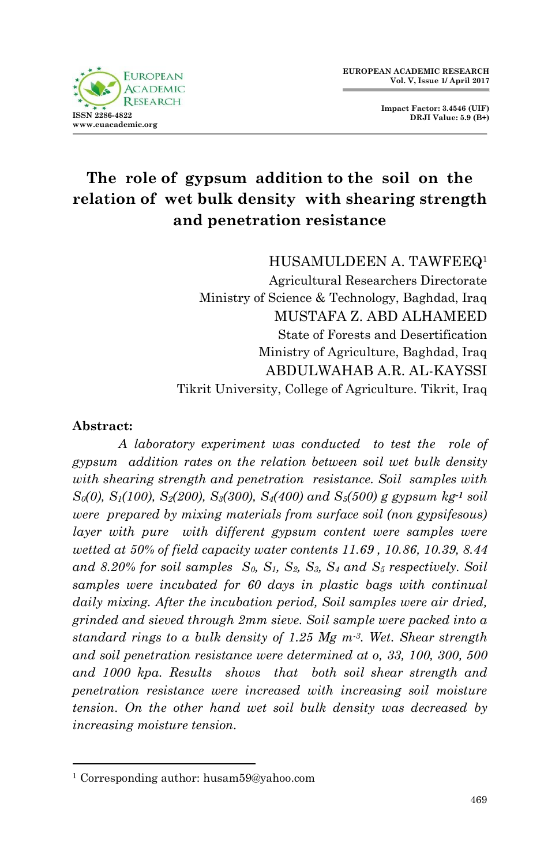

**Impact Factor: 3.4546 (UIF) DRJI Value: 5.9 (B+)**

# **The role of gypsum addition to the soil on the relation of wet bulk density with shearing strength and penetration resistance**

HUSAMULDEEN A. TAWFEEQ<sup>1</sup>

Agricultural Researchers Directorate Ministry of Science & Technology, Baghdad, Iraq MUSTAFA Z. ABD ALHAMEED State of Forests and Desertification Ministry of Agriculture, Baghdad, Iraq ABDULWAHAB A.R. AL-KAYSSI Tikrit University, College of Agriculture. Tikrit, Iraq

#### **Abstract:**

1

*A laboratory experiment was conducted to test the role of gypsum addition rates on the relation between soil wet bulk density with shearing strength and penetration resistance. Soil samples with S0(0), S1(100), S2(200), S3(300), S4(400) and S5(500) g gypsum kg-1 soil were prepared by mixing materials from surface soil (non gypsifesous) layer with pure with different gypsum content were samples were wetted at 50% of field capacity water contents 11.69 , 10.86, 10.39, 8.44 and 8.20% for soil samples S0, S1, S2, S3, S<sup>4</sup> and S<sup>5</sup> respectively. Soil samples were incubated for 60 days in plastic bags with continual daily mixing. After the incubation period, Soil samples were air dried, grinded and sieved through 2mm sieve. Soil sample were packed into a standard rings to a bulk density of 1.25 Mg m-3. Wet. Shear strength and soil penetration resistance were determined at o, 33, 100, 300, 500 and 1000 kpa. Results shows that both soil shear strength and penetration resistance were increased with increasing soil moisture tension. On the other hand wet soil bulk density was decreased by increasing moisture tension.*

<sup>1</sup> Corresponding author: husam59@yahoo.com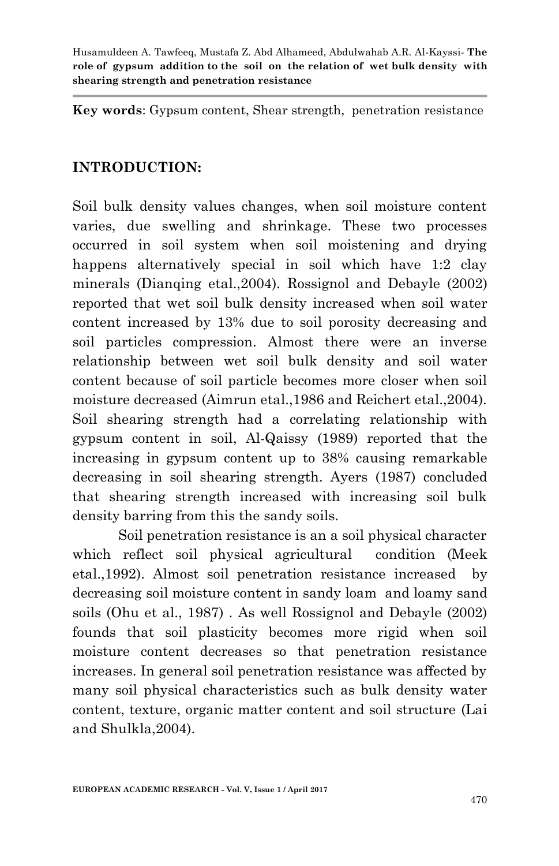**Key words**: Gypsum content, Shear strength, penetration resistance

#### **INTRODUCTION:**

Soil bulk density values changes, when soil moisture content varies, due swelling and shrinkage. These two processes occurred in soil system when soil moistening and drying happens alternatively special in soil which have 1:2 clay minerals (Dianqing etal.,2004). Rossignol and Debayle (2002) reported that wet soil bulk density increased when soil water content increased by 13% due to soil porosity decreasing and soil particles compression. Almost there were an inverse relationship between wet soil bulk density and soil water content because of soil particle becomes more closer when soil moisture decreased (Aimrun etal.,1986 and Reichert etal.,2004). Soil shearing strength had a correlating relationship with gypsum content in soil, Al-Qaissy (1989) reported that the increasing in gypsum content up to 38% causing remarkable decreasing in soil shearing strength. Ayers (1987) concluded that shearing strength increased with increasing soil bulk density barring from this the sandy soils.

Soil penetration resistance is an a soil physical character which reflect soil physical agricultural condition (Meek etal.,1992). Almost soil penetration resistance increased by decreasing soil moisture content in sandy loam and loamy sand soils (Ohu et al., 1987) . As well Rossignol and Debayle (2002) founds that soil plasticity becomes more rigid when soil moisture content decreases so that penetration resistance increases. In general soil penetration resistance was affected by many soil physical characteristics such as bulk density water content, texture, organic matter content and soil structure (Lai and Shulkla,2004).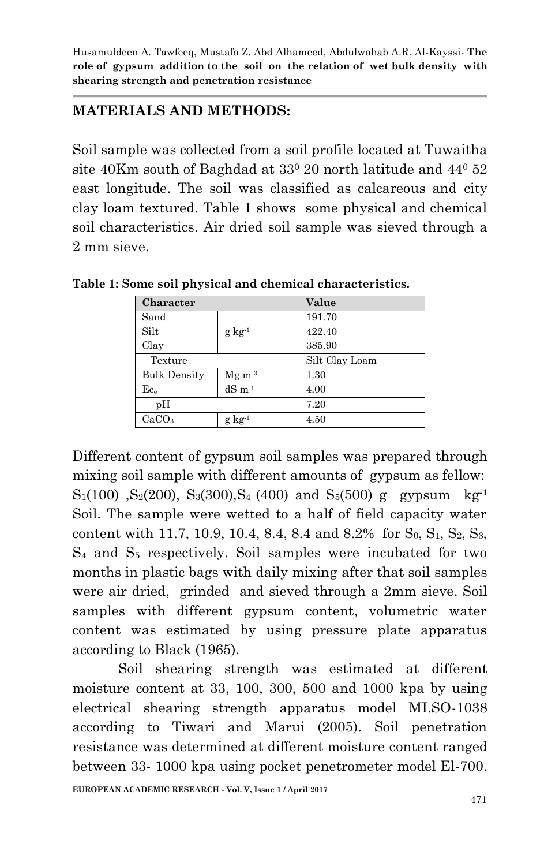### **MATERIALS AND METHODS:**

Soil sample was collected from a soil profile located at Tuwaitha site 40Km south of Baghdad at  $33^{\circ}$  20 north latitude and  $44^{\circ}$  52 east longitude. The soil was classified as calcareous and city clay loam textured. Table 1 shows some physical and chemical soil characteristics. Air dried soil sample was sieved through a 2 mm sieve.

| Character                |                     | Value          |  |  |  |
|--------------------------|---------------------|----------------|--|--|--|
| Sand                     |                     | 191.70         |  |  |  |
| Silt                     | $g \text{ kg}^{-1}$ | 422.40         |  |  |  |
| Clay                     |                     | 385.90         |  |  |  |
| Texture                  |                     | Silt Clay Loam |  |  |  |
| <b>Bulk Density</b>      | $Mg m^{-3}$         | 1.30           |  |  |  |
| $\mathrm{Ec}_\mathrm{e}$ | $dS \, m^{-1}$      | 4.00           |  |  |  |
| pH                       |                     | 7.20           |  |  |  |
| CaCO <sub>3</sub>        | $g\ kg^{-1}$        | 4.50           |  |  |  |

**Table 1: Some soil physical and chemical characteristics.**

Different content of gypsum soil samples was prepared through mixing soil sample with different amounts of gypsum as fellow:  $S_1(100)$ ,  $S_2(200)$ ,  $S_3(300)$ ,  $S_4(400)$  and  $S_5(500)$  g gypsum kg<sup>-1</sup> Soil. The sample were wetted to a half of field capacity water content with 11.7, 10.9, 10.4, 8.4, 8.4 and 8.2% for  $S_0$ ,  $S_1$ ,  $S_2$ ,  $S_3$ , S<sup>4</sup> and S<sup>5</sup> respectively. Soil samples were incubated for two months in plastic bags with daily mixing after that soil samples were air dried, grinded and sieved through a 2mm sieve. Soil samples with different gypsum content, volumetric water content was estimated by using pressure plate apparatus according to Black (1965).

Soil shearing strength was estimated at different moisture content at 33, 100, 300, 500 and 1000 kpa by using electrical shearing strength apparatus model MI.SO-1038 according to Tiwari and Marui (2005). Soil penetration resistance was determined at different moisture content ranged between 33- 1000 kpa using pocket penetrometer model El-700.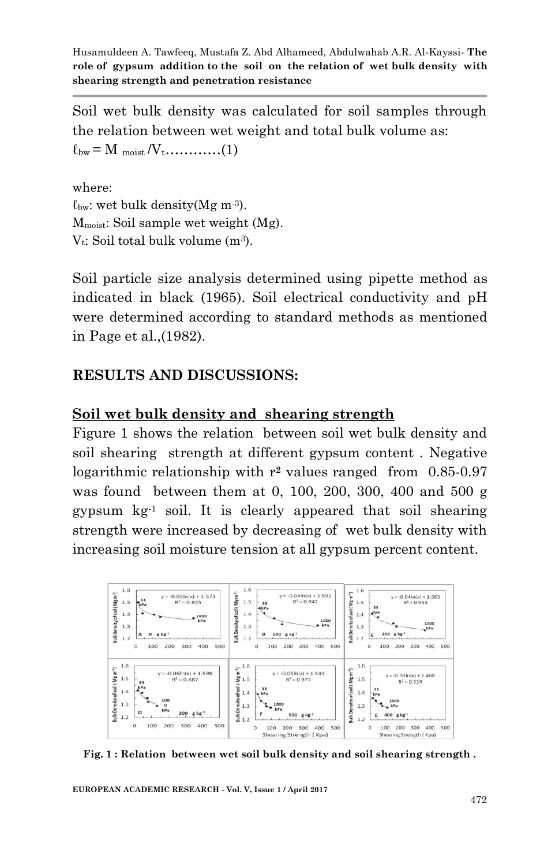Soil wet bulk density was calculated for soil samples through the relation between wet weight and total bulk volume as:  $\ell_{\text{bw}} = M_{\text{moist}}/V_{\text{t}} \dots \dots \dots (1)$ 

where:  $\ell_{\text{bw}}$ : wet bulk density(Mg m<sup>-3</sup>). Mmoist: Soil sample wet weight (Mg).  $V_t$ : Soil total bulk volume  $(m^3)$ .

Soil particle size analysis determined using pipette method as indicated in black (1965). Soil electrical conductivity and pH were determined according to standard methods as mentioned in Page et al.,(1982).

## **RESULTS AND DISCUSSIONS:**

### **Soil wet bulk density and shearing strength**

Figure 1 shows the relation between soil wet bulk density and soil shearing strength at different gypsum content . Negative logarithmic relationship with r**<sup>2</sup>** values ranged from 0.85-0.97 was found between them at 0, 100, 200, 300, 400 and 500 g gypsum kg-1 soil. It is clearly appeared that soil shearing strength were increased by decreasing of wet bulk density with increasing soil moisture tension at all gypsum percent content.



**Fig. 1 : Relation between wet soil bulk density and soil shearing strength .**

**EUROPEAN ACADEMIC RESEARCH - Vol. V, Issue 1 / April 2017**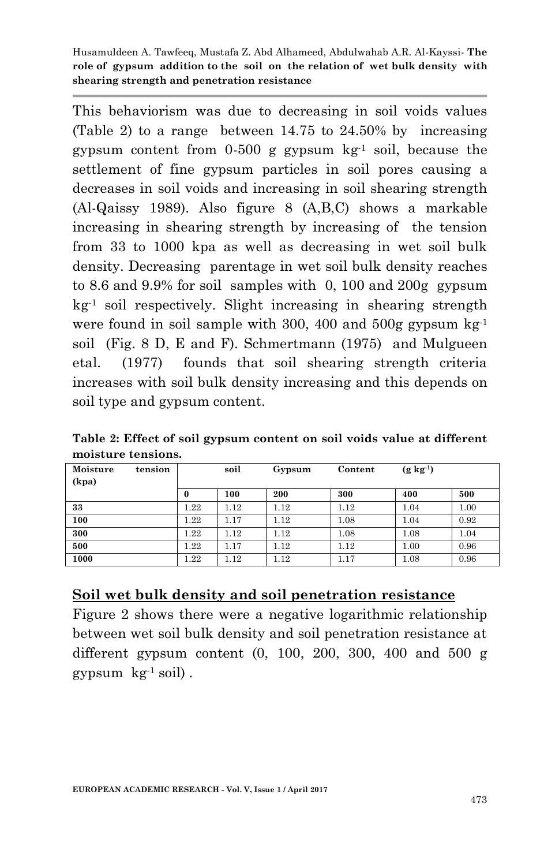This behaviorism was due to decreasing in soil voids values (Table 2) to a range between 14.75 to 24.50% by increasing gypsum content from  $0.500$  g gypsum  $kg<sup>-1</sup>$  soil, because the settlement of fine gypsum particles in soil pores causing a decreases in soil voids and increasing in soil shearing strength (Al-Qaissy 1989). Also figure 8 (A,B,C) shows a markable increasing in shearing strength by increasing of the tension from 33 to 1000 kpa as well as decreasing in wet soil bulk density. Decreasing parentage in wet soil bulk density reaches to 8.6 and 9.9% for soil samples with 0, 100 and 200g gypsum kg -1 soil respectively. Slight increasing in shearing strength were found in soil sample with 300, 400 and 500g gypsum  $kg^{-1}$ soil (Fig. 8 D, E and F). Schmertmann (1975) and Mulgueen etal. (1977) founds that soil shearing strength criteria increases with soil bulk density increasing and this depends on soil type and gypsum content.

| Table 2: Effect of soil gypsum content on soil voids value at different |  |  |  |
|-------------------------------------------------------------------------|--|--|--|
| moisture tensions.                                                      |  |  |  |

| Moisture<br>tension<br>(kpa) |          | soil | Gypsum | Content | $(g \text{ kg}^{-1})$ |      |
|------------------------------|----------|------|--------|---------|-----------------------|------|
|                              | $\bf{0}$ | 100  | 200    | 300     | 400                   | 500  |
| 33                           | 1.22     | 1.12 | 1.12   | 1.12    | 1.04                  | 1.00 |
| 100                          | 1.22     | 1.17 | 1.12   | 1.08    | 1.04                  | 0.92 |
| 300                          | $1.22\,$ | 1.12 | 1.12   | 1.08    | 1.08                  | 1.04 |
| 500                          | 1.22     | 1.17 | 1.12   | 1.12    | 1.00                  | 0.96 |
| 1000                         | $1.22\,$ | 1.12 | 1.12   | 1.17    | 1.08                  | 0.96 |

### **Soil wet bulk density and soil penetration resistance**

Figure 2 shows there were a negative logarithmic relationship between wet soil bulk density and soil penetration resistance at different gypsum content (0, 100, 200, 300, 400 and 500 g gypsum  $kg^{-1}$  soil).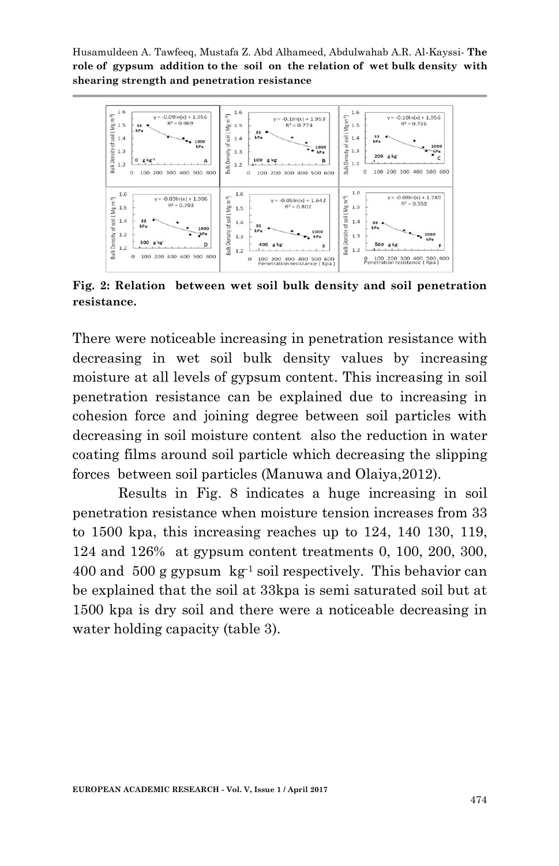

**Fig. 2: Relation between wet soil bulk density and soil penetration resistance.**

There were noticeable increasing in penetration resistance with decreasing in wet soil bulk density values by increasing moisture at all levels of gypsum content. This increasing in soil penetration resistance can be explained due to increasing in cohesion force and joining degree between soil particles with decreasing in soil moisture content also the reduction in water coating films around soil particle which decreasing the slipping forces between soil particles (Manuwa and Olaiya,2012).

Results in Fig. 8 indicates a huge increasing in soil penetration resistance when moisture tension increases from 33 to 1500 kpa, this increasing reaches up to 124, 140 130, 119, 124 and 126% at gypsum content treatments 0, 100, 200, 300, 400 and 500 g gypsum  $kg^{-1}$  soil respectively. This behavior can be explained that the soil at 33kpa is semi saturated soil but at 1500 kpa is dry soil and there were a noticeable decreasing in water holding capacity (table 3).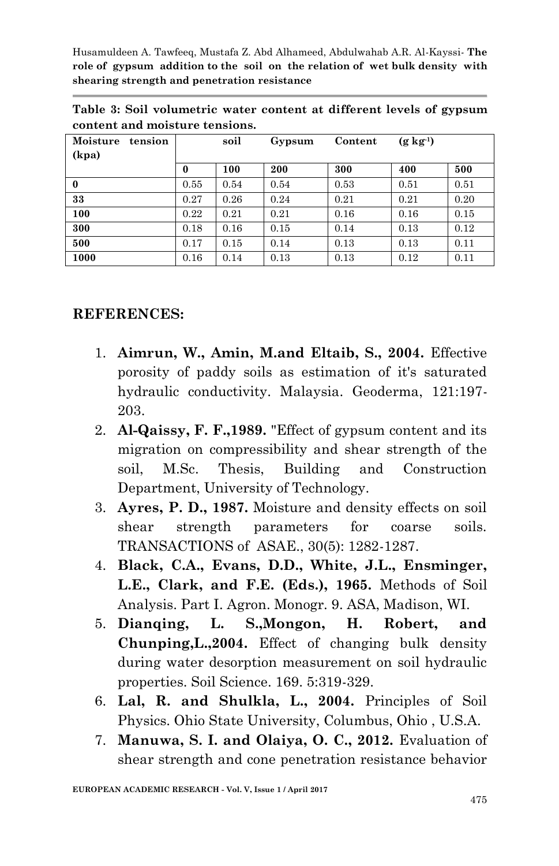|                                |  |  |  |  |  |  |  | Table 3: Soil volumetric water content at different levels of gypsum |  |  |  |
|--------------------------------|--|--|--|--|--|--|--|----------------------------------------------------------------------|--|--|--|
| content and moisture tensions. |  |  |  |  |  |  |  |                                                                      |  |  |  |

| Moisture<br>tension<br>(kpa) |          | soil | Gypsum | Content | $(g \text{ kg}^{-1})$ |      |
|------------------------------|----------|------|--------|---------|-----------------------|------|
|                              | $\bf{0}$ | 100  | 200    | 300     | 400                   | 500  |
| $\bf{0}$                     | 0.55     | 0.54 | 0.54   | 0.53    | 0.51                  | 0.51 |
| 33                           | 0.27     | 0.26 | 0.24   | 0.21    | 0.21                  | 0.20 |
| 100                          | 0.22     | 0.21 | 0.21   | 0.16    | 0.16                  | 0.15 |
| 300                          | 0.18     | 0.16 | 0.15   | 0.14    | 0.13                  | 0.12 |
| 500                          | 0.17     | 0.15 | 0.14   | 0.13    | 0.13                  | 0.11 |
| 1000                         | 0.16     | 0.14 | 0.13   | 0.13    | 0.12                  | 0.11 |

#### **REFERENCES:**

- 1. **Aimrun, W., Amin, M.and Eltaib, S., 2004.** Effective porosity of paddy soils as estimation of it's saturated hydraulic conductivity. Malaysia. Geoderma, 121:197- 203.
- 2. **Al-Qaissy, F. F.,1989.** "Effect of gypsum content and its migration on compressibility and shear strength of the soil, M.Sc. Thesis, Building and Construction Department, University of Technology.
- 3. **Ayres, P. D., 1987.** Moisture and density effects on soil shear strength parameters for coarse soils. TRANSACTIONS of ASAE., 30(5): 1282-1287.
- 4. **Black, C.A., Evans, D.D., White, J.L., Ensminger, L.E., Clark, and F.E. (Eds.), 1965.** Methods of Soil Analysis. Part I. Agron. Monogr. 9. ASA, Madison, WI.
- 5. **Dianqing, L. S.,Mongon, H. Robert, and Chunping,L.,2004.** Effect of changing bulk density during water desorption measurement on soil hydraulic properties. Soil Science. 169. 5:319-329.
- 6. **Lal, R. and Shulkla, L., 2004.** Principles of Soil Physics. Ohio State University, Columbus, Ohio , U.S.A.
- 7. **Manuwa, S. I. and Olaiya, O. C., 2012.** Evaluation of shear strength and cone penetration resistance behavior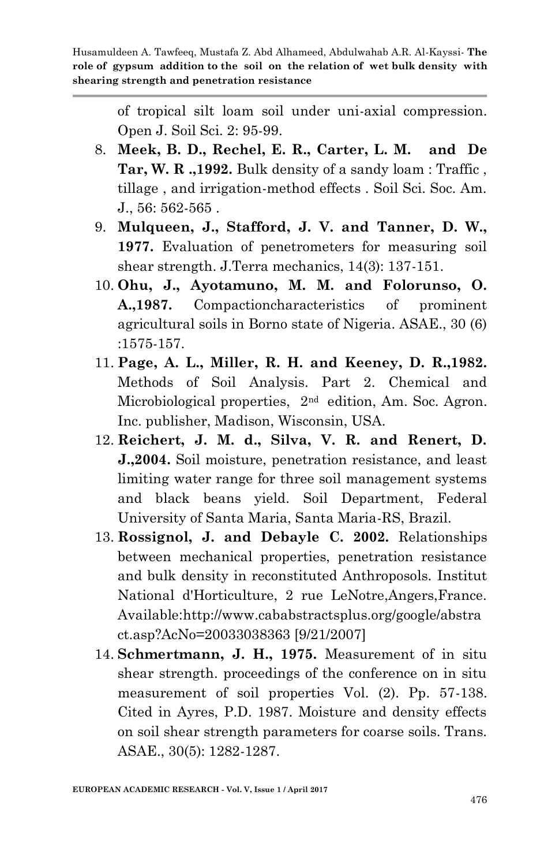> of tropical silt loam soil under uni-axial compression. Open J. Soil Sci. 2: 95-99.

- 8. **Meek, B. D., Rechel, E. R., Carter, L. M. and De Tar, W. R .,1992.** Bulk density of a sandy loam : Traffic , tillage , and irrigation-method effects . Soil Sci. Soc. Am. J., 56: 562-565 .
- 9. **Mulqueen, J., Stafford, J. V. and Tanner, D. W., 1977.** Evaluation of penetrometers for measuring soil shear strength. J.Terra mechanics, 14(3): 137-151.
- 10. **Ohu, J., Ayotamuno, M. M. and Folorunso, O. A.,1987.** Compactioncharacteristics of prominent agricultural soils in Borno state of Nigeria. ASAE., 30 (6) :1575-157.
- 11. **Page, A. L., Miller, R. H. and Keeney, D. R.,1982.** Methods of Soil Analysis. Part 2. Chemical and Microbiological properties, 2nd edition, Am. Soc. Agron. Inc. publisher, Madison, Wisconsin, USA.
- 12. **Reichert, J. M. d., Silva, V. R. and Renert, D. J.,2004.** Soil moisture, penetration resistance, and least limiting water range for three soil management systems and black beans yield. Soil Department, Federal University of Santa Maria, Santa Maria-RS, Brazil.
- 13. **Rossignol, J. and Debayle C. 2002.** Relationships between mechanical properties, penetration resistance and bulk density in reconstituted Anthroposols. Institut National d'Horticulture, 2 rue LeNotre,Angers,France. Available:http://www.cababstractsplus.org/google/abstra ct.asp?AcNo=20033038363 [9/21/2007]
- 14. **Schmertmann, J. H., 1975.** Measurement of in situ shear strength. proceedings of the conference on in situ measurement of soil properties Vol. (2). Pp. 57-138. Cited in Ayres, P.D. 1987. Moisture and density effects on soil shear strength parameters for coarse soils. Trans. ASAE., 30(5): 1282-1287.